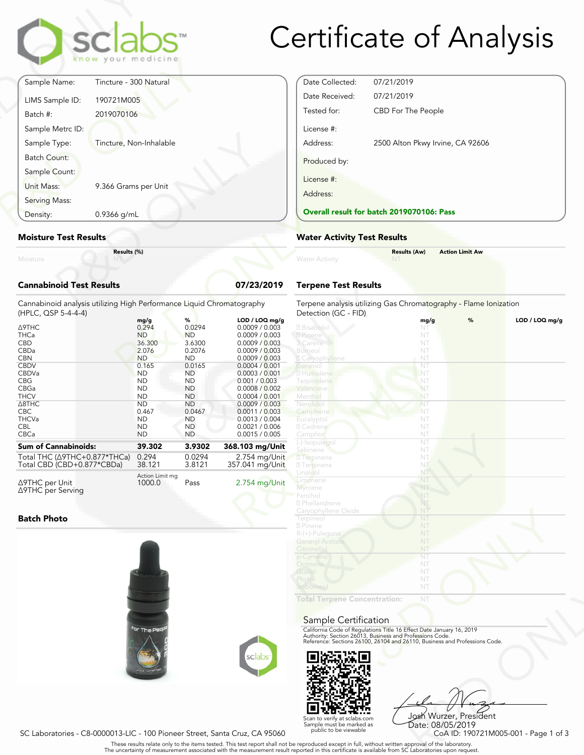

# Certificate of Analysis

|                                 | clabs <sup>-</sup><br>know your medicine |            |
|---------------------------------|------------------------------------------|------------|
| Sample Name:                    | Tincture - 300 Natural                   |            |
| LIMS Sample ID:<br>Batch #:     | 190721M005<br>2019070106                 |            |
| Sample Metrc ID:                |                                          |            |
| Sample Type:                    | Tincture, Non-Inhalable                  |            |
| Batch Count:                    |                                          |            |
| Sample Count:                   |                                          |            |
| Unit Mass:                      | 9.366 Grams per Unit                     |            |
| Serving Mass:                   |                                          |            |
| Density:                        | 0.9366 g/mL                              |            |
| <b>Moisture Test Results</b>    |                                          |            |
| Moisture                        | Results (%)                              |            |
| <b>Cannabinoid Test Results</b> |                                          | 07/23/2019 |

### **Moisture Test Results**

### **Cannabinoid Test Results 07/23/2019**

| Density:                                                                                                                                                                                      | $0.9366$ g/mL |                                                                                                                                                                                      |                                                                                                                                                                                       |                                                                                                                                                                                                                                                                                             | <b>Overall result for batc</b>                                                                                                                                                                          |  |
|-----------------------------------------------------------------------------------------------------------------------------------------------------------------------------------------------|---------------|--------------------------------------------------------------------------------------------------------------------------------------------------------------------------------------|---------------------------------------------------------------------------------------------------------------------------------------------------------------------------------------|---------------------------------------------------------------------------------------------------------------------------------------------------------------------------------------------------------------------------------------------------------------------------------------------|---------------------------------------------------------------------------------------------------------------------------------------------------------------------------------------------------------|--|
| <b>Moisture Test Results</b>                                                                                                                                                                  |               |                                                                                                                                                                                      |                                                                                                                                                                                       |                                                                                                                                                                                                                                                                                             | <b>Water Activity Test R</b>                                                                                                                                                                            |  |
| Moisture                                                                                                                                                                                      | Results (%)   |                                                                                                                                                                                      |                                                                                                                                                                                       |                                                                                                                                                                                                                                                                                             | <b>Water Activity</b>                                                                                                                                                                                   |  |
| <b>Cannabinoid Test Results</b>                                                                                                                                                               |               |                                                                                                                                                                                      |                                                                                                                                                                                       | 07/23/2019                                                                                                                                                                                                                                                                                  | <b>Terpene Test Results</b>                                                                                                                                                                             |  |
| Cannabinoid analysis utilizing High Performance Liquid Chromatography<br>(HPLC, QSP 5-4-4-4)                                                                                                  |               |                                                                                                                                                                                      |                                                                                                                                                                                       |                                                                                                                                                                                                                                                                                             | Terpene analysis utilizing<br>Detection (GC - FID)                                                                                                                                                      |  |
| Δ9THC<br><b>THCa</b><br><b>CBD</b><br>CBDa<br><b>CBN</b><br><b>CBDV</b><br>CBDVa<br><b>CBG</b><br>CBGa<br><b>THCV</b><br>$\triangle$ 8THC<br><b>CBC</b><br><b>THCVa</b><br><b>CBL</b><br>CBCa |               | mg/g<br>0.294<br><b>ND</b><br>36.300<br>2.076<br><b>ND</b><br>0.165<br><b>ND</b><br><b>ND</b><br><b>ND</b><br><b>ND</b><br><b>ND</b><br>0.467<br><b>ND</b><br><b>ND</b><br><b>ND</b> | %<br>0.0294<br><b>ND</b><br>3.6300<br>0.2076<br><b>ND</b><br>0.0165<br><b>ND</b><br><b>ND</b><br><b>ND</b><br><b>ND</b><br><b>ND</b><br>0.0467<br><b>ND</b><br><b>ND</b><br><b>ND</b> | LOD / LOQ mg/g<br>0.0009 / 0.003<br>0.0009 / 0.003<br>0.0009 / 0.003<br>0.0009 / 0.003<br>0.0009 / 0.003<br>0.0004 / 0.001<br>0.0003 / 0.001<br>0.001 / 0.003<br>0.0008 / 0.002<br>0.0004 / 0.001<br>0.0009 / 0.003<br>0.0011 / 0.003<br>0.0013 / 0.004<br>0.0021 / 0.006<br>0.0015 / 0.005 | 2 Bisabolol<br>2 Pinene<br>3 Carene<br>Borneol<br><b>Z</b> Caryophyllene<br>Geranio<br>2 Humulene<br>Terpinolene<br>Valencene<br>Menthol<br>Nerolidol<br>Camphene<br>Eucalyptol<br>2 Cedrene<br>Camphor |  |
| <b>Sum of Cannabinoids:</b>                                                                                                                                                                   |               | 39.302                                                                                                                                                                               | 3.9302                                                                                                                                                                                | 368.103 mg/Unit                                                                                                                                                                                                                                                                             | (-)-Isopulegol<br>Sabinene                                                                                                                                                                              |  |
| Total THC ( $\triangle$ 9THC+0.877*THCa)<br>Total CBD (CBD+0.877*CBDa)                                                                                                                        |               | 0.294<br>38.121                                                                                                                                                                      | 0.0294<br>3.8121                                                                                                                                                                      | 2.754 mg/Unit<br>357.041 mg/Unit                                                                                                                                                                                                                                                            | 2 Terpinene<br><b>7</b> Terpinene                                                                                                                                                                       |  |
| ∆9THC per Unit<br>∆9THC per Serving                                                                                                                                                           |               | Action Limit mg<br>1000.0                                                                                                                                                            | Pass                                                                                                                                                                                  | 2.754 mg/Unit                                                                                                                                                                                                                                                                               | Linalool<br>Limonene<br>Myrcene                                                                                                                                                                         |  |

#### **Batch Photo**





Date Collected: 07/21/2019 Date Received: 07/21/2019 Tested for: CBD For The People License #: Address: 2500 Alton Pkwy Irvine, CA 92606 Produced by: License #: Address:

#### **Overall result for batch 2019070106: Pass**

#### **Water Activity Test Results**

|                | <b>Results (Aw)</b> | <b>Action Limit Aw</b> |  |
|----------------|---------------------|------------------------|--|
| Water Activity | <b>NT</b>           |                        |  |
|                |                     |                        |  |

## **Terpene Test Results**

| atography      | Terpene analysis utilizing Gas Chromatography - Flame Ionization<br>Detection (GC - FID)                                               |                          |   |                |
|----------------|----------------------------------------------------------------------------------------------------------------------------------------|--------------------------|---|----------------|
| LOD / LOQ mg/g |                                                                                                                                        | mg/g                     | % | LOD / LOQ mg/g |
| 0.0009 / 0.003 | 2 Bisabolol                                                                                                                            | NT                       |   |                |
| 0.0009 / 0.003 | 2 Pinene                                                                                                                               | NT                       |   |                |
| 0.0009 / 0.003 | 3 Carene                                                                                                                               | NT                       |   |                |
| 0.0009 / 0.003 | Borneol                                                                                                                                | NT                       |   |                |
| 0.0009 / 0.003 | <b>Z</b> Caryophyllene                                                                                                                 | NT                       |   |                |
| 0.0004 / 0.001 | Geranio                                                                                                                                | NT                       |   |                |
| 0.0003 / 0.001 | 2 Humulene                                                                                                                             | NT                       |   |                |
| 0.001 / 0.003  | Terpinolene                                                                                                                            | NT                       |   |                |
| 0.0008 / 0.002 | Valencene                                                                                                                              | NT                       |   |                |
| 0.0004 / 0.001 | Menthol                                                                                                                                | NT                       |   |                |
| 0.0009 / 0.003 | Nerolidol                                                                                                                              | NT                       |   |                |
| 0.0011 / 0.003 | Camphene                                                                                                                               | NT                       |   |                |
| 0.0013 / 0.004 | Eucalyptol                                                                                                                             | NT                       |   |                |
| 0.0021 / 0.006 | 2 Cedrene                                                                                                                              | NT                       |   |                |
| 0.0015 / 0.005 | Camphor                                                                                                                                | NT                       |   |                |
|                | (-)-Isopulegol                                                                                                                         | NT                       |   |                |
| 8.103 mg/Unit  | Sabinene                                                                                                                               | NT                       |   |                |
| 2.754 mg/Unit  | <b>7</b> Terpinene                                                                                                                     | NT                       |   |                |
| 57.041 mg/Unit | <b>7</b> Terpinene                                                                                                                     | NT                       |   |                |
|                | Linalool                                                                                                                               | NT                       |   |                |
|                | Limonene                                                                                                                               | NT                       |   |                |
| 2.754 mg/Unit  | <b>Myrcene</b>                                                                                                                         | NT                       |   |                |
|                | Fenchol                                                                                                                                | NT                       |   |                |
|                | 2 Phellandrene                                                                                                                         | NT                       |   |                |
|                | Caryophyllene Oxide                                                                                                                    | NT                       |   |                |
|                | Terpineol                                                                                                                              | NT                       |   |                |
|                | 2 Pinene                                                                                                                               | NT                       |   |                |
|                | R-(+)-Pulegone                                                                                                                         | NT                       |   |                |
|                | <b>Geranyl Acetate</b>                                                                                                                 | NT                       |   |                |
|                | Citronellol                                                                                                                            | NT                       |   |                |
|                | p-Cymene                                                                                                                               | $\overline{\mathsf{NT}}$ |   |                |
|                | Ocimene                                                                                                                                | NT                       |   |                |
|                | Guaio                                                                                                                                  | NT                       |   |                |
|                | Phytol                                                                                                                                 | NT                       |   |                |
|                | Isoborneol                                                                                                                             | NT                       |   |                |
|                |                                                                                                                                        |                          |   |                |
|                | <b>Total Terpene Concentration:</b>                                                                                                    | NT                       |   |                |
|                |                                                                                                                                        |                          |   |                |
|                | Sample Certification                                                                                                                   |                          |   |                |
|                |                                                                                                                                        |                          |   |                |
|                | California Code of Regulations Title 16 Effect Date January 16, 2019                                                                   |                          |   |                |
|                | Authority: Section 26013, Business and Professions Code.<br>Reference: Sections 26100, 26104 and 26110, Business and Professions Code. |                          |   |                |
|                |                                                                                                                                        |                          |   |                |
| sclabs         |                                                                                                                                        |                          |   |                |
|                |                                                                                                                                        |                          |   |                |
|                |                                                                                                                                        |                          |   |                |

#### Sample Certification



NT<br>
NT<br>
Fect Date January 16, 2019<br>
rofessions Code.<br>
9110, Business and Professions Code.<br>
910, Business and Professions Code.<br>
9206 Wurzer, President<br>
Date: 08/05/2019<br>
CoA ID: 190721M005-001 - Page 1 of 3<br>
pproval of th Josh Wurzer, President Date: 08/05/2019<br>CoA ID: 190721M005-001 - Page 1 of 3

SC Laboratories - C8-0000013-LIC - 100 Pioneer Street, Santa Cruz, CA 95060

. These results relate only to the items tested. This test report shall not be reproduced except in full, without written approval of the laboratory.<br>The uncertainty of measurement associated with the measurement result re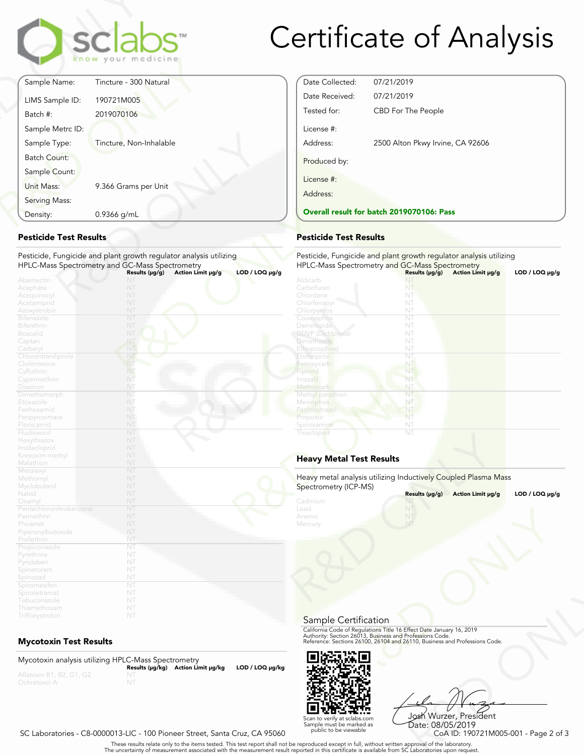

# Certificate of Analysis

Date Collected: 07/21/2019 Date Received: 07/21/2019

Tested for: CBD For The People

**Overall result for batch 2019070106: Pass**

Address: 2500 Alton Pkwy Irvine, CA 92606

Pesticide, Fungicide and plant growth regulator analysis utilizing

|                     | sclabs<br>know your medicine |
|---------------------|------------------------------|
| Sample Name:        | Tincture - 300 Natural       |
| LIMS Sample ID:     | 190721M005                   |
| Batch #:            | 2019070106                   |
| Sample Metrc ID:    |                              |
| Sample Type:        | Tincture, Non-Inhalable      |
| <b>Batch Count:</b> |                              |
| Sample Count:       |                              |
| Unit Mass:          | 9.366 Grams per Unit         |
| Serving Mass:       |                              |
| Density:            | 0.9366 g/mL                  |

## **Pesticide Test Results**

| Density:                                                                            | 0.9366 g/mL                                                                                                           | <b>Overall result for batc</b>                                                           |
|-------------------------------------------------------------------------------------|-----------------------------------------------------------------------------------------------------------------------|------------------------------------------------------------------------------------------|
| <b>Pesticide Test Results</b>                                                       |                                                                                                                       | <b>Pesticide Test Results</b>                                                            |
|                                                                                     | Pesticide, Fungicide and plant growth regulator analysis utilizing<br>HPLC-Mass Spectrometry and GC-Mass Spectrometry | Pesticide, Fungicide and<br><b>HPLC-Mass Spectrometry</b>                                |
| Abamectin<br>Acephate<br>Acequinocyl<br>Acetamiprid                                 | Action Limit µg/g<br>Results $(\mu g/g)$<br>NT<br>NT<br>NT<br>NT                                                      | $LOD / LOQ \mu g/g$<br>Aldicarb<br>Carbofuran<br>Chlordane<br>Chlorfenapyr               |
| Azoxystrobin<br><b>Bifenazate</b><br><b>Bifenthrin</b><br><b>Boscalid</b><br>Captan | NT<br>NT<br>NT<br>NT<br>NT                                                                                            | Chlorpyrifos<br>Coumaphos<br>Daminozide<br><b>DDVP</b> (Dichlorvos)<br><b>Dimethoate</b> |
| Carbaryl<br>Chlorantraniliprole<br>Clofentezine<br>Cyfluthrin<br>Cypermethrin       | NT<br>NT<br>NT<br>NT.<br>NT                                                                                           | Ethoprop(hos)<br>Etofenprox<br>Fenoxycarb<br>Fipronil<br>Imaza i                         |
| Diazinon<br>Dimethomorph<br>Etoxazole<br>Fenhexamid<br>Fenpyroximate                | NT<br>NT<br>NT<br>NT<br>NT                                                                                            | Methiocarb<br>Methyl parathion<br>Mevinphos<br>Paclobutrazo<br>Propoxur                  |
| Flonicamid<br>Fludioxonil<br>Hexythiazox<br>Imidacloprid                            | NT<br>NT<br>NT<br>NT                                                                                                  | Spiroxamine<br>Thiacloprid                                                               |
| Kresoxim-methyl<br>Malathion<br>Metalaxyl                                           | NT<br>NT<br>NT                                                                                                        | <b>Heavy Metal Test Res</b>                                                              |
| Methomyl<br>Myclobutanil<br>Naled                                                   | NT<br>NT<br>NT                                                                                                        | Heavy metal analysis utiliz<br>Spectrometry (ICP-MS)                                     |
| Oxamyl<br>Pentachloronitrobenzene<br>Permethrin<br>Phosmet<br>Piperonylbutoxide     | NT<br>NT<br>NT<br>NT<br>NT                                                                                            | Cadmium<br>Lead<br>Arsenic<br>Mercury                                                    |
| Prallethrin<br>Propiconazole<br>Pyrethrins<br>Pyridaben                             | NT<br>NT<br>NT<br>NT                                                                                                  |                                                                                          |
| Spinetoram<br>Spinosad<br>Spiromesifen<br>Spirotetramat                             | NT<br>NT<br>NT<br>NT                                                                                                  |                                                                                          |
| Tebuconazole<br>Thiamethoxam<br>Trifloxystrobin                                     | NT<br>NT<br>NT                                                                                                        |                                                                                          |

# **Mycotoxin Test Results**

Mycotoxin analysis utilizing HPLC-Mass Spectrometry **Results (μg/kg) Action Limit μg/kg LOD / LOQ μg/kg** NT



Frect Date January 16, 2019<br>
Trofessions Code.<br>
110, Business and Professions Code.<br>
110, Business and Professions Code.<br>
108 Wurzzer, President<br>
Date: 08/05/2019<br>
CoA ID: 190721M005-001 - Page 2 of 3<br>
pproval of the labor Josh Wurzer, President Date: 08/05/2019<br>CoA ID: 190721M005-001 - Page 2 of 3

### SC Laboratories - C8-0000013-LIC - 100 Pioneer Street, Santa Cruz, CA 95060

. These results relate only to the items tested. This test report shall not be reproduced except in full, without written approval of the laboratory.<br>The uncertainty of measurement associated with the measurement result re

Scan to verify at sclabs.com Sample must be marked as public to be viewable

HPLC-Mass Spectrometry and GC-Mass Spectrometry **Results (μg/g) Action Limit μg/g LOD / LOQ μg/g** NT NT NT

License #:

Produced by:

License #: Address:

| ennon en iap yn<br>Chlorpyrifos | IV L<br>NT                                                                                            |                     |
|---------------------------------|-------------------------------------------------------------------------------------------------------|---------------------|
| Coumaphos                       | NT                                                                                                    |                     |
| <b>Daminozide</b>               | NT                                                                                                    |                     |
| <b>DDVP</b> (Dichlorvos)        | NT                                                                                                    |                     |
| <b>Dimethoate</b>               | NT                                                                                                    |                     |
| Ethoprop(hos)                   | NT                                                                                                    |                     |
| Etofenprox                      | NT.                                                                                                   |                     |
| Fenoxycarb                      | NT                                                                                                    |                     |
| Fipronil                        | NT                                                                                                    |                     |
| Imazalil                        | NT                                                                                                    |                     |
| Methiocarb                      | NT                                                                                                    |                     |
| Methyl parathion                | NT                                                                                                    |                     |
| <b>Mevinphos</b>                | NŤ                                                                                                    |                     |
| Paclobutrazol                   | NT                                                                                                    |                     |
| Propoxur                        | NT                                                                                                    |                     |
| Spiroxamine                     | NT                                                                                                    |                     |
| Thiacloprid                     | NT                                                                                                    |                     |
| <b>Heavy Metal Test Results</b> |                                                                                                       |                     |
| Spectrometry (ICP-MS)           | Heavy metal analysis utilizing Inductively Coupled Plasma Mass<br>Results (µg/g)<br>Action Limit µg/g | $LOD / LOQ \mu g/g$ |
| Cadmium                         |                                                                                                       |                     |
| Lead                            | NT <sub>1</sub>                                                                                       |                     |
| Arsenic                         | NT.                                                                                                   |                     |
| Mercury                         | NT                                                                                                    |                     |
|                                 |                                                                                                       |                     |

# **Heavy Metal Test Results**

| Spectrometry (ICP-MS) | Heavy metal analysis utilizing Inductively Coupled Plasma Mass                                                                                                                                                 |                     |
|-----------------------|----------------------------------------------------------------------------------------------------------------------------------------------------------------------------------------------------------------|---------------------|
|                       | Results (µg/g)<br>Action Limit µg/g                                                                                                                                                                            | $LOD / LOQ \mu g/g$ |
| Cadmium<br>Lead       | NT                                                                                                                                                                                                             |                     |
| Arsenic<br>Mercury    |                                                                                                                                                                                                                |                     |
|                       |                                                                                                                                                                                                                |                     |
| Sample Certification  |                                                                                                                                                                                                                |                     |
|                       | California Code of Regulations Title 16 Effect Date January 16, 2019<br>Authority: Section 26013, Business and Professions Code.<br>Reference: Sections 26100, 26104 and 26110, Business and Professions Code. |                     |
|                       |                                                                                                                                                                                                                |                     |